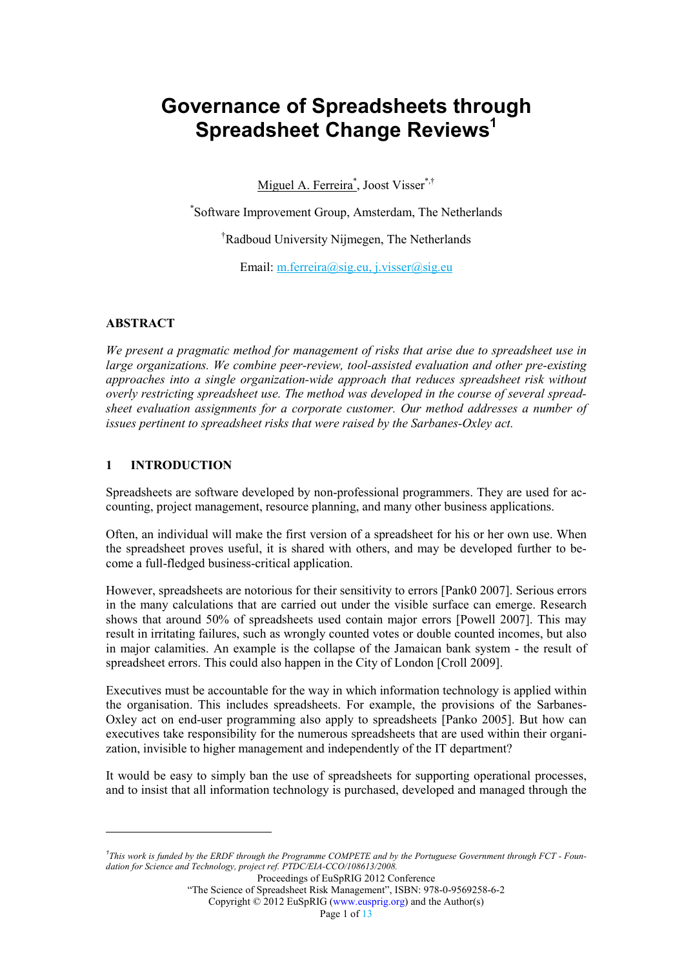# Governance of Spreadsheets through Spreadsheet Change Reviews<sup>1</sup>

Miguel A. Ferreira<sup>\*</sup>, Joost Visser<sup>\*,†</sup>

\* Software Improvement Group, Amsterdam, The Netherlands

†Radboud University Nijmegen, The Netherlands

Email: m.ferreira@sig.eu, j.visser@sig.eu

#### **ABSTRACT**

We present a pragmatic method for management of risks that arise due to spreadsheet use in large organizations. We combine peer-review, tool-assisted evaluation and other pre-existing approaches into a single organization-wide approach that reduces spreadsheet risk without overly restricting spreadsheet use. The method was developed in the course of several spreadsheet evaluation assignments for a corporate customer. Our method addresses a number of issues pertinent to spreadsheet risks that were raised by the Sarbanes-Oxley act.

#### 1 INTRODUCTION

 $\overline{a}$ 

Spreadsheets are software developed by non-professional programmers. They are used for accounting, project management, resource planning, and many other business applications.

Often, an individual will make the first version of a spreadsheet for his or her own use. When the spreadsheet proves useful, it is shared with others, and may be developed further to become a full-fledged business-critical application.

However, spreadsheets are notorious for their sensitivity to errors [Pank0 2007]. Serious errors in the many calculations that are carried out under the visible surface can emerge. Research shows that around 50% of spreadsheets used contain major errors [Powell 2007]. This may result in irritating failures, such as wrongly counted votes or double counted incomes, but also in major calamities. An example is the collapse of the Jamaican bank system - the result of spreadsheet errors. This could also happen in the City of London [Croll 2009].

Executives must be accountable for the way in which information technology is applied within the organisation. This includes spreadsheets. For example, the provisions of the Sarbanes-Oxley act on end-user programming also apply to spreadsheets [Panko 2005]. But how can executives take responsibility for the numerous spreadsheets that are used within their organization, invisible to higher management and independently of the IT department?

It would be easy to simply ban the use of spreadsheets for supporting operational processes, and to insist that all information technology is purchased, developed and managed through the

Copyright © 2012 EuSpRIG (www.eusprig.org) and the Author(s)

<sup>&</sup>lt;sup>1</sup>This work is funded by the ERDF through the Programme COMPETE and by the Portuguese Government through FCT - Foundation for Science and Technology, project ref. PTDC/EIA-CCO/108613/2008.

Proceedings of EuSpRIG 2012 Conference

<sup>&</sup>quot;The Science of Spreadsheet Risk Management", ISBN: 978-0-9569258-6-2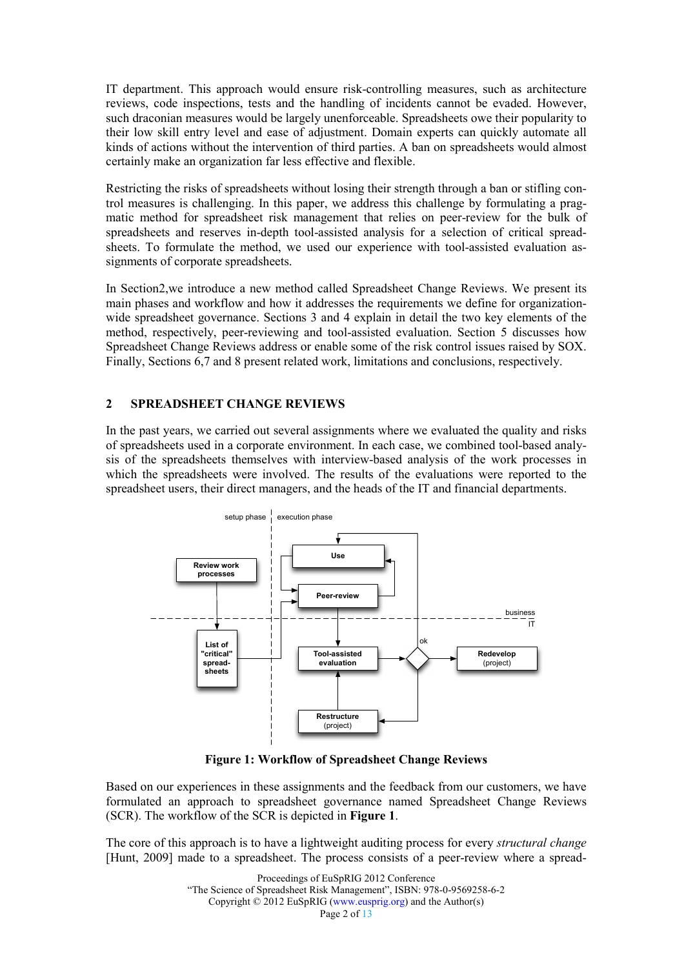IT department. This approach would ensure risk-controlling measures, such as architecture reviews, code inspections, tests and the handling of incidents cannot be evaded. However, such draconian measures would be largely unenforceable. Spreadsheets owe their popularity to their low skill entry level and ease of adjustment. Domain experts can quickly automate all kinds of actions without the intervention of third parties. A ban on spreadsheets would almost certainly make an organization far less effective and flexible.

Restricting the risks of spreadsheets without losing their strength through a ban or stifling control measures is challenging. In this paper, we address this challenge by formulating a pragmatic method for spreadsheet risk management that relies on peer-review for the bulk of spreadsheets and reserves in-depth tool-assisted analysis for a selection of critical spreadsheets. To formulate the method, we used our experience with tool-assisted evaluation assignments of corporate spreadsheets.

In Section2,we introduce a new method called Spreadsheet Change Reviews. We present its main phases and workflow and how it addresses the requirements we define for organizationwide spreadsheet governance. Sections 3 and 4 explain in detail the two key elements of the method, respectively, peer-reviewing and tool-assisted evaluation. Section 5 discusses how Spreadsheet Change Reviews address or enable some of the risk control issues raised by SOX. Finally, Sections 6,7 and 8 present related work, limitations and conclusions, respectively.

#### 2 SPREADSHEET CHANGE REVIEWS

In the past years, we carried out several assignments where we evaluated the quality and risks of spreadsheets used in a corporate environment. In each case, we combined tool-based analysis of the spreadsheets themselves with interview-based analysis of the work processes in which the spreadsheets were involved. The results of the evaluations were reported to the spreadsheet users, their direct managers, and the heads of the IT and financial departments.



Figure 1: Workflow of Spreadsheet Change Reviews

Based on our experiences in these assignments and the feedback from our customers, we have formulated an approach to spreadsheet governance named Spreadsheet Change Reviews (SCR). The workflow of the SCR is depicted in Figure 1.

The core of this approach is to have a lightweight auditing process for every *structural change* [Hunt, 2009] made to a spreadsheet. The process consists of a peer-review where a spread-

> Proceedings of EuSpRIG 2012 Conference "The Science of Spreadsheet Risk Management", ISBN: 978-0-9569258-6-2 Copyright © 2012 EuSpRIG (www.eusprig.org) and the Author(s) Page 2 of 13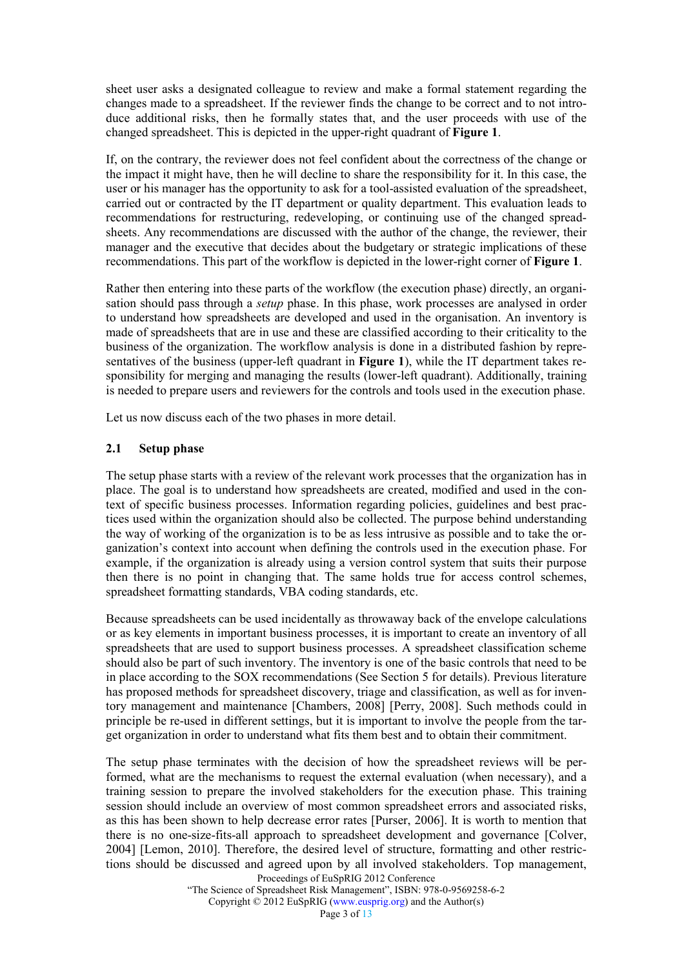sheet user asks a designated colleague to review and make a formal statement regarding the changes made to a spreadsheet. If the reviewer finds the change to be correct and to not introduce additional risks, then he formally states that, and the user proceeds with use of the changed spreadsheet. This is depicted in the upper-right quadrant of Figure 1.

If, on the contrary, the reviewer does not feel confident about the correctness of the change or the impact it might have, then he will decline to share the responsibility for it. In this case, the user or his manager has the opportunity to ask for a tool-assisted evaluation of the spreadsheet, carried out or contracted by the IT department or quality department. This evaluation leads to recommendations for restructuring, redeveloping, or continuing use of the changed spreadsheets. Any recommendations are discussed with the author of the change, the reviewer, their manager and the executive that decides about the budgetary or strategic implications of these recommendations. This part of the workflow is depicted in the lower-right corner of Figure 1.

Rather then entering into these parts of the workflow (the execution phase) directly, an organisation should pass through a setup phase. In this phase, work processes are analysed in order to understand how spreadsheets are developed and used in the organisation. An inventory is made of spreadsheets that are in use and these are classified according to their criticality to the business of the organization. The workflow analysis is done in a distributed fashion by representatives of the business (upper-left quadrant in **Figure 1)**, while the IT department takes responsibility for merging and managing the results (lower-left quadrant). Additionally, training is needed to prepare users and reviewers for the controls and tools used in the execution phase.

Let us now discuss each of the two phases in more detail.

#### 2.1 Setup phase

The setup phase starts with a review of the relevant work processes that the organization has in place. The goal is to understand how spreadsheets are created, modified and used in the context of specific business processes. Information regarding policies, guidelines and best practices used within the organization should also be collected. The purpose behind understanding the way of working of the organization is to be as less intrusive as possible and to take the organization's context into account when defining the controls used in the execution phase. For example, if the organization is already using a version control system that suits their purpose then there is no point in changing that. The same holds true for access control schemes, spreadsheet formatting standards, VBA coding standards, etc.

Because spreadsheets can be used incidentally as throwaway back of the envelope calculations or as key elements in important business processes, it is important to create an inventory of all spreadsheets that are used to support business processes. A spreadsheet classification scheme should also be part of such inventory. The inventory is one of the basic controls that need to be in place according to the SOX recommendations (See Section 5 for details). Previous literature has proposed methods for spreadsheet discovery, triage and classification, as well as for inventory management and maintenance [Chambers, 2008] [Perry, 2008]. Such methods could in principle be re-used in different settings, but it is important to involve the people from the target organization in order to understand what fits them best and to obtain their commitment.

The setup phase terminates with the decision of how the spreadsheet reviews will be performed, what are the mechanisms to request the external evaluation (when necessary), and a training session to prepare the involved stakeholders for the execution phase. This training session should include an overview of most common spreadsheet errors and associated risks, as this has been shown to help decrease error rates [Purser, 2006]. It is worth to mention that there is no one-size-fits-all approach to spreadsheet development and governance [Colver, 2004] [Lemon, 2010]. Therefore, the desired level of structure, formatting and other restrictions should be discussed and agreed upon by all involved stakeholders. Top management,

Proceedings of EuSpRIG 2012 Conference

"The Science of Spreadsheet Risk Management", ISBN: 978-0-9569258-6-2

Copyright © 2012 EuSpRIG (www.eusprig.org) and the Author(s)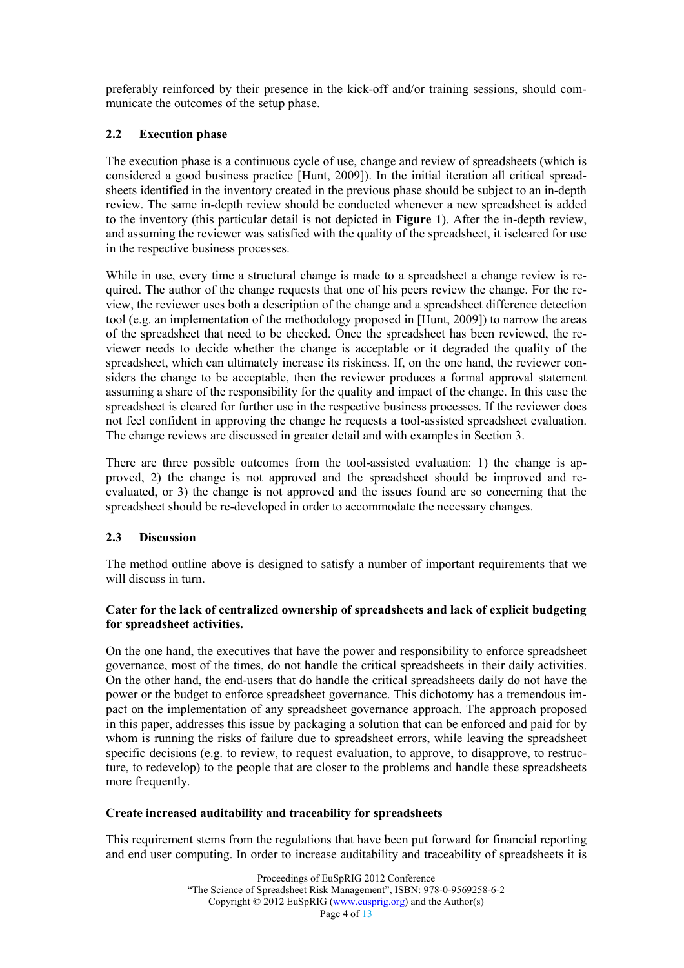preferably reinforced by their presence in the kick-off and/or training sessions, should communicate the outcomes of the setup phase.

### 2.2 Execution phase

The execution phase is a continuous cycle of use, change and review of spreadsheets (which is considered a good business practice [Hunt, 2009]). In the initial iteration all critical spreadsheets identified in the inventory created in the previous phase should be subject to an in-depth review. The same in-depth review should be conducted whenever a new spreadsheet is added to the inventory (this particular detail is not depicted in Figure 1). After the in-depth review, and assuming the reviewer was satisfied with the quality of the spreadsheet, it iscleared for use in the respective business processes.

While in use, every time a structural change is made to a spreadsheet a change review is required. The author of the change requests that one of his peers review the change. For the review, the reviewer uses both a description of the change and a spreadsheet difference detection tool (e.g. an implementation of the methodology proposed in [Hunt, 2009]) to narrow the areas of the spreadsheet that need to be checked. Once the spreadsheet has been reviewed, the reviewer needs to decide whether the change is acceptable or it degraded the quality of the spreadsheet, which can ultimately increase its riskiness. If, on the one hand, the reviewer considers the change to be acceptable, then the reviewer produces a formal approval statement assuming a share of the responsibility for the quality and impact of the change. In this case the spreadsheet is cleared for further use in the respective business processes. If the reviewer does not feel confident in approving the change he requests a tool-assisted spreadsheet evaluation. The change reviews are discussed in greater detail and with examples in Section 3.

There are three possible outcomes from the tool-assisted evaluation: 1) the change is approved, 2) the change is not approved and the spreadsheet should be improved and reevaluated, or 3) the change is not approved and the issues found are so concerning that the spreadsheet should be re-developed in order to accommodate the necessary changes.

#### 2.3 Discussion

The method outline above is designed to satisfy a number of important requirements that we will discuss in turn.

#### Cater for the lack of centralized ownership of spreadsheets and lack of explicit budgeting for spreadsheet activities.

On the one hand, the executives that have the power and responsibility to enforce spreadsheet governance, most of the times, do not handle the critical spreadsheets in their daily activities. On the other hand, the end-users that do handle the critical spreadsheets daily do not have the power or the budget to enforce spreadsheet governance. This dichotomy has a tremendous impact on the implementation of any spreadsheet governance approach. The approach proposed in this paper, addresses this issue by packaging a solution that can be enforced and paid for by whom is running the risks of failure due to spreadsheet errors, while leaving the spreadsheet specific decisions (e.g. to review, to request evaluation, to approve, to disapprove, to restructure, to redevelop) to the people that are closer to the problems and handle these spreadsheets more frequently.

#### Create increased auditability and traceability for spreadsheets

This requirement stems from the regulations that have been put forward for financial reporting and end user computing. In order to increase auditability and traceability of spreadsheets it is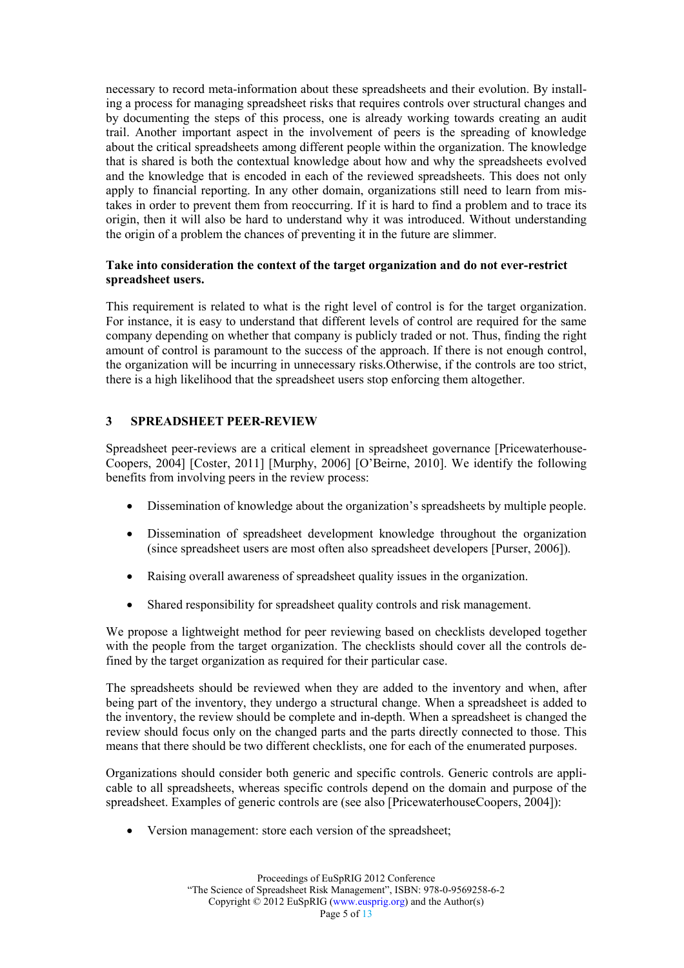necessary to record meta-information about these spreadsheets and their evolution. By installing a process for managing spreadsheet risks that requires controls over structural changes and by documenting the steps of this process, one is already working towards creating an audit trail. Another important aspect in the involvement of peers is the spreading of knowledge about the critical spreadsheets among different people within the organization. The knowledge that is shared is both the contextual knowledge about how and why the spreadsheets evolved and the knowledge that is encoded in each of the reviewed spreadsheets. This does not only apply to financial reporting. In any other domain, organizations still need to learn from mistakes in order to prevent them from reoccurring. If it is hard to find a problem and to trace its origin, then it will also be hard to understand why it was introduced. Without understanding the origin of a problem the chances of preventing it in the future are slimmer.

#### Take into consideration the context of the target organization and do not ever-restrict spreadsheet users.

This requirement is related to what is the right level of control is for the target organization. For instance, it is easy to understand that different levels of control are required for the same company depending on whether that company is publicly traded or not. Thus, finding the right amount of control is paramount to the success of the approach. If there is not enough control, the organization will be incurring in unnecessary risks.Otherwise, if the controls are too strict, there is a high likelihood that the spreadsheet users stop enforcing them altogether.

#### 3 SPREADSHEET PEER-REVIEW

Spreadsheet peer-reviews are a critical element in spreadsheet governance [Pricewaterhouse-Coopers, 2004] [Coster, 2011] [Murphy, 2006] [O'Beirne, 2010]. We identify the following benefits from involving peers in the review process:

- Dissemination of knowledge about the organization's spreadsheets by multiple people.
- Dissemination of spreadsheet development knowledge throughout the organization (since spreadsheet users are most often also spreadsheet developers [Purser, 2006]).
- Raising overall awareness of spreadsheet quality issues in the organization.
- Shared responsibility for spreadsheet quality controls and risk management.

We propose a lightweight method for peer reviewing based on checklists developed together with the people from the target organization. The checklists should cover all the controls defined by the target organization as required for their particular case.

The spreadsheets should be reviewed when they are added to the inventory and when, after being part of the inventory, they undergo a structural change. When a spreadsheet is added to the inventory, the review should be complete and in-depth. When a spreadsheet is changed the review should focus only on the changed parts and the parts directly connected to those. This means that there should be two different checklists, one for each of the enumerated purposes.

Organizations should consider both generic and specific controls. Generic controls are applicable to all spreadsheets, whereas specific controls depend on the domain and purpose of the spreadsheet. Examples of generic controls are (see also [PricewaterhouseCoopers, 2004]):

• Version management: store each version of the spreadsheet;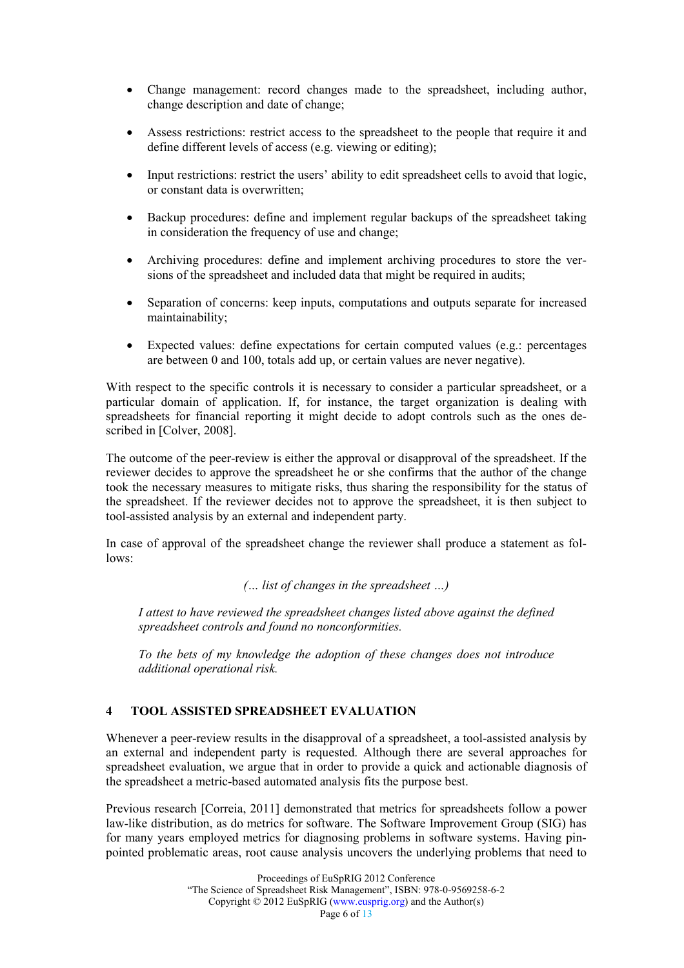- Change management: record changes made to the spreadsheet, including author, change description and date of change;
- Assess restrictions: restrict access to the spreadsheet to the people that require it and define different levels of access (e.g. viewing or editing);
- Input restrictions: restrict the users' ability to edit spreadsheet cells to avoid that logic, or constant data is overwritten;
- Backup procedures: define and implement regular backups of the spreadsheet taking in consideration the frequency of use and change;
- Archiving procedures: define and implement archiving procedures to store the versions of the spreadsheet and included data that might be required in audits;
- Separation of concerns: keep inputs, computations and outputs separate for increased maintainability;
- Expected values: define expectations for certain computed values (e.g.: percentages are between 0 and 100, totals add up, or certain values are never negative).

With respect to the specific controls it is necessary to consider a particular spreadsheet, or a particular domain of application. If, for instance, the target organization is dealing with spreadsheets for financial reporting it might decide to adopt controls such as the ones described in [Colver, 2008].

The outcome of the peer-review is either the approval or disapproval of the spreadsheet. If the reviewer decides to approve the spreadsheet he or she confirms that the author of the change took the necessary measures to mitigate risks, thus sharing the responsibility for the status of the spreadsheet. If the reviewer decides not to approve the spreadsheet, it is then subject to tool-assisted analysis by an external and independent party.

In case of approval of the spreadsheet change the reviewer shall produce a statement as follows:

(… list of changes in the spreadsheet …)

I attest to have reviewed the spreadsheet changes listed above against the defined spreadsheet controls and found no nonconformities.

To the bets of my knowledge the adoption of these changes does not introduce additional operational risk.

#### 4 TOOL ASSISTED SPREADSHEET EVALUATION

Whenever a peer-review results in the disapproval of a spreadsheet, a tool-assisted analysis by an external and independent party is requested. Although there are several approaches for spreadsheet evaluation, we argue that in order to provide a quick and actionable diagnosis of the spreadsheet a metric-based automated analysis fits the purpose best.

Previous research [Correia, 2011] demonstrated that metrics for spreadsheets follow a power law-like distribution, as do metrics for software. The Software Improvement Group (SIG) has for many years employed metrics for diagnosing problems in software systems. Having pinpointed problematic areas, root cause analysis uncovers the underlying problems that need to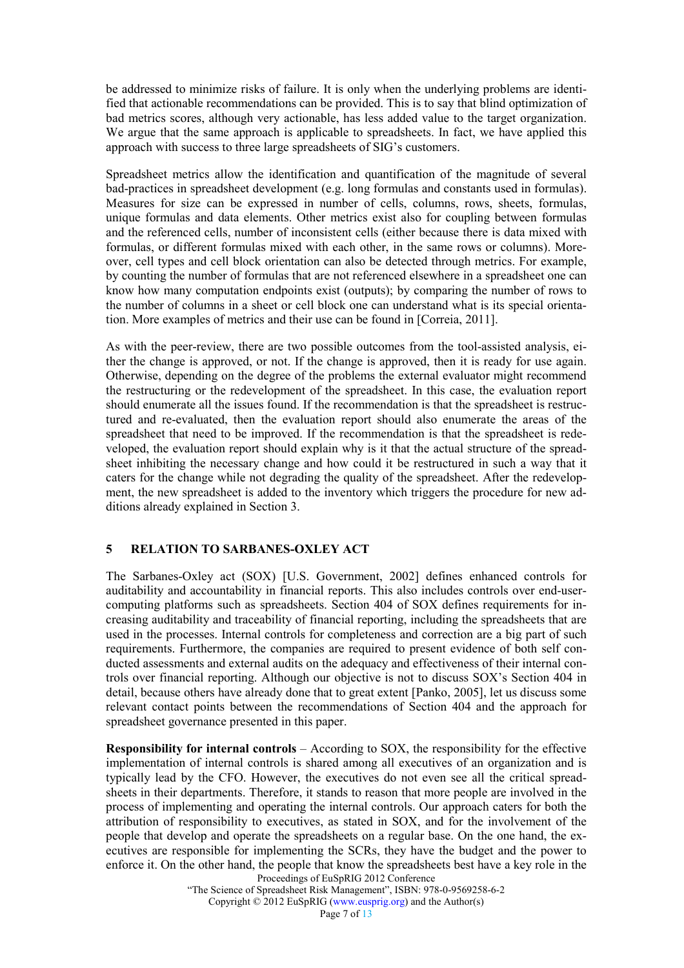be addressed to minimize risks of failure. It is only when the underlying problems are identified that actionable recommendations can be provided. This is to say that blind optimization of bad metrics scores, although very actionable, has less added value to the target organization. We argue that the same approach is applicable to spreadsheets. In fact, we have applied this approach with success to three large spreadsheets of SIG's customers.

Spreadsheet metrics allow the identification and quantification of the magnitude of several bad-practices in spreadsheet development (e.g. long formulas and constants used in formulas). Measures for size can be expressed in number of cells, columns, rows, sheets, formulas, unique formulas and data elements. Other metrics exist also for coupling between formulas and the referenced cells, number of inconsistent cells (either because there is data mixed with formulas, or different formulas mixed with each other, in the same rows or columns). Moreover, cell types and cell block orientation can also be detected through metrics. For example, by counting the number of formulas that are not referenced elsewhere in a spreadsheet one can know how many computation endpoints exist (outputs); by comparing the number of rows to the number of columns in a sheet or cell block one can understand what is its special orientation. More examples of metrics and their use can be found in [Correia, 2011].

As with the peer-review, there are two possible outcomes from the tool-assisted analysis, either the change is approved, or not. If the change is approved, then it is ready for use again. Otherwise, depending on the degree of the problems the external evaluator might recommend the restructuring or the redevelopment of the spreadsheet. In this case, the evaluation report should enumerate all the issues found. If the recommendation is that the spreadsheet is restructured and re-evaluated, then the evaluation report should also enumerate the areas of the spreadsheet that need to be improved. If the recommendation is that the spreadsheet is redeveloped, the evaluation report should explain why is it that the actual structure of the spreadsheet inhibiting the necessary change and how could it be restructured in such a way that it caters for the change while not degrading the quality of the spreadsheet. After the redevelopment, the new spreadsheet is added to the inventory which triggers the procedure for new additions already explained in Section 3.

#### 5 RELATION TO SARBANES-OXLEY ACT

The Sarbanes-Oxley act (SOX) [U.S. Government, 2002] defines enhanced controls for auditability and accountability in financial reports. This also includes controls over end-usercomputing platforms such as spreadsheets. Section 404 of SOX defines requirements for increasing auditability and traceability of financial reporting, including the spreadsheets that are used in the processes. Internal controls for completeness and correction are a big part of such requirements. Furthermore, the companies are required to present evidence of both self conducted assessments and external audits on the adequacy and effectiveness of their internal controls over financial reporting. Although our objective is not to discuss SOX's Section 404 in detail, because others have already done that to great extent [Panko, 2005], let us discuss some relevant contact points between the recommendations of Section 404 and the approach for spreadsheet governance presented in this paper.

Responsibility for internal controls – According to SOX, the responsibility for the effective implementation of internal controls is shared among all executives of an organization and is typically lead by the CFO. However, the executives do not even see all the critical spreadsheets in their departments. Therefore, it stands to reason that more people are involved in the process of implementing and operating the internal controls. Our approach caters for both the attribution of responsibility to executives, as stated in SOX, and for the involvement of the people that develop and operate the spreadsheets on a regular base. On the one hand, the executives are responsible for implementing the SCRs, they have the budget and the power to enforce it. On the other hand, the people that know the spreadsheets best have a key role in the

Proceedings of EuSpRIG 2012 Conference

"The Science of Spreadsheet Risk Management", ISBN: 978-0-9569258-6-2 Copyright © 2012 EuSpRIG (www.eusprig.org) and the Author(s)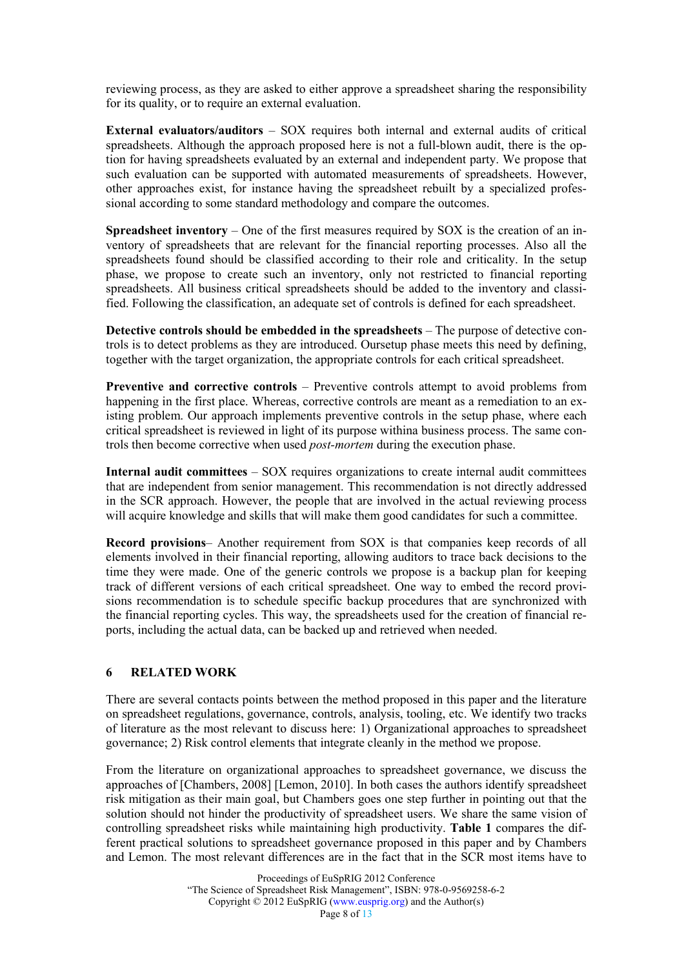reviewing process, as they are asked to either approve a spreadsheet sharing the responsibility for its quality, or to require an external evaluation.

External evaluators/auditors – SOX requires both internal and external audits of critical spreadsheets. Although the approach proposed here is not a full-blown audit, there is the option for having spreadsheets evaluated by an external and independent party. We propose that such evaluation can be supported with automated measurements of spreadsheets. However, other approaches exist, for instance having the spreadsheet rebuilt by a specialized professional according to some standard methodology and compare the outcomes.

Spreadsheet inventory – One of the first measures required by SOX is the creation of an inventory of spreadsheets that are relevant for the financial reporting processes. Also all the spreadsheets found should be classified according to their role and criticality. In the setup phase, we propose to create such an inventory, only not restricted to financial reporting spreadsheets. All business critical spreadsheets should be added to the inventory and classified. Following the classification, an adequate set of controls is defined for each spreadsheet.

Detective controls should be embedded in the spreadsheets – The purpose of detective controls is to detect problems as they are introduced. Oursetup phase meets this need by defining, together with the target organization, the appropriate controls for each critical spreadsheet.

Preventive and corrective controls – Preventive controls attempt to avoid problems from happening in the first place. Whereas, corrective controls are meant as a remediation to an existing problem. Our approach implements preventive controls in the setup phase, where each critical spreadsheet is reviewed in light of its purpose withina business process. The same controls then become corrective when used post-mortem during the execution phase.

Internal audit committees – SOX requires organizations to create internal audit committees that are independent from senior management. This recommendation is not directly addressed in the SCR approach. However, the people that are involved in the actual reviewing process will acquire knowledge and skills that will make them good candidates for such a committee.

Record provisions– Another requirement from SOX is that companies keep records of all elements involved in their financial reporting, allowing auditors to trace back decisions to the time they were made. One of the generic controls we propose is a backup plan for keeping track of different versions of each critical spreadsheet. One way to embed the record provisions recommendation is to schedule specific backup procedures that are synchronized with the financial reporting cycles. This way, the spreadsheets used for the creation of financial reports, including the actual data, can be backed up and retrieved when needed.

#### 6 RELATED WORK

There are several contacts points between the method proposed in this paper and the literature on spreadsheet regulations, governance, controls, analysis, tooling, etc. We identify two tracks of literature as the most relevant to discuss here: 1) Organizational approaches to spreadsheet governance; 2) Risk control elements that integrate cleanly in the method we propose.

From the literature on organizational approaches to spreadsheet governance, we discuss the approaches of [Chambers, 2008] [Lemon, 2010]. In both cases the authors identify spreadsheet risk mitigation as their main goal, but Chambers goes one step further in pointing out that the solution should not hinder the productivity of spreadsheet users. We share the same vision of controlling spreadsheet risks while maintaining high productivity. Table 1 compares the different practical solutions to spreadsheet governance proposed in this paper and by Chambers and Lemon. The most relevant differences are in the fact that in the SCR most items have to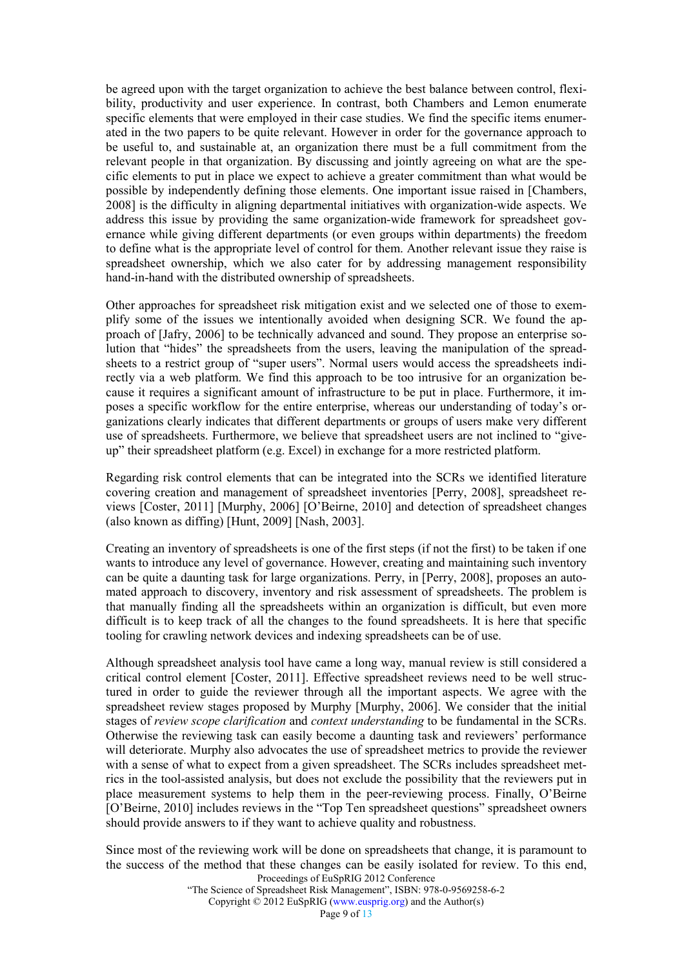be agreed upon with the target organization to achieve the best balance between control, flexibility, productivity and user experience. In contrast, both Chambers and Lemon enumerate specific elements that were employed in their case studies. We find the specific items enumerated in the two papers to be quite relevant. However in order for the governance approach to be useful to, and sustainable at, an organization there must be a full commitment from the relevant people in that organization. By discussing and jointly agreeing on what are the specific elements to put in place we expect to achieve a greater commitment than what would be possible by independently defining those elements. One important issue raised in [Chambers, 2008] is the difficulty in aligning departmental initiatives with organization-wide aspects. We address this issue by providing the same organization-wide framework for spreadsheet governance while giving different departments (or even groups within departments) the freedom to define what is the appropriate level of control for them. Another relevant issue they raise is spreadsheet ownership, which we also cater for by addressing management responsibility hand-in-hand with the distributed ownership of spreadsheets.

Other approaches for spreadsheet risk mitigation exist and we selected one of those to exemplify some of the issues we intentionally avoided when designing SCR. We found the approach of [Jafry, 2006] to be technically advanced and sound. They propose an enterprise solution that "hides" the spreadsheets from the users, leaving the manipulation of the spreadsheets to a restrict group of "super users". Normal users would access the spreadsheets indirectly via a web platform. We find this approach to be too intrusive for an organization because it requires a significant amount of infrastructure to be put in place. Furthermore, it imposes a specific workflow for the entire enterprise, whereas our understanding of today's organizations clearly indicates that different departments or groups of users make very different use of spreadsheets. Furthermore, we believe that spreadsheet users are not inclined to "giveup" their spreadsheet platform (e.g. Excel) in exchange for a more restricted platform.

Regarding risk control elements that can be integrated into the SCRs we identified literature covering creation and management of spreadsheet inventories [Perry, 2008], spreadsheet reviews [Coster, 2011] [Murphy, 2006] [O'Beirne, 2010] and detection of spreadsheet changes (also known as diffing) [Hunt, 2009] [Nash, 2003].

Creating an inventory of spreadsheets is one of the first steps (if not the first) to be taken if one wants to introduce any level of governance. However, creating and maintaining such inventory can be quite a daunting task for large organizations. Perry, in [Perry, 2008], proposes an automated approach to discovery, inventory and risk assessment of spreadsheets. The problem is that manually finding all the spreadsheets within an organization is difficult, but even more difficult is to keep track of all the changes to the found spreadsheets. It is here that specific tooling for crawling network devices and indexing spreadsheets can be of use.

Although spreadsheet analysis tool have came a long way, manual review is still considered a critical control element [Coster, 2011]. Effective spreadsheet reviews need to be well structured in order to guide the reviewer through all the important aspects. We agree with the spreadsheet review stages proposed by Murphy [Murphy, 2006]. We consider that the initial stages of *review scope clarification* and *context understanding* to be fundamental in the SCRs. Otherwise the reviewing task can easily become a daunting task and reviewers' performance will deteriorate. Murphy also advocates the use of spreadsheet metrics to provide the reviewer with a sense of what to expect from a given spreadsheet. The SCRs includes spreadsheet metrics in the tool-assisted analysis, but does not exclude the possibility that the reviewers put in place measurement systems to help them in the peer-reviewing process. Finally, O'Beirne [O'Beirne, 2010] includes reviews in the "Top Ten spreadsheet questions" spreadsheet owners should provide answers to if they want to achieve quality and robustness.

Proceedings of EuSpRIG 2012 Conference Since most of the reviewing work will be done on spreadsheets that change, it is paramount to the success of the method that these changes can be easily isolated for review. To this end,

"The Science of Spreadsheet Risk Management", ISBN: 978-0-9569258-6-2

Copyright © 2012 EuSpRIG (www.eusprig.org) and the Author(s)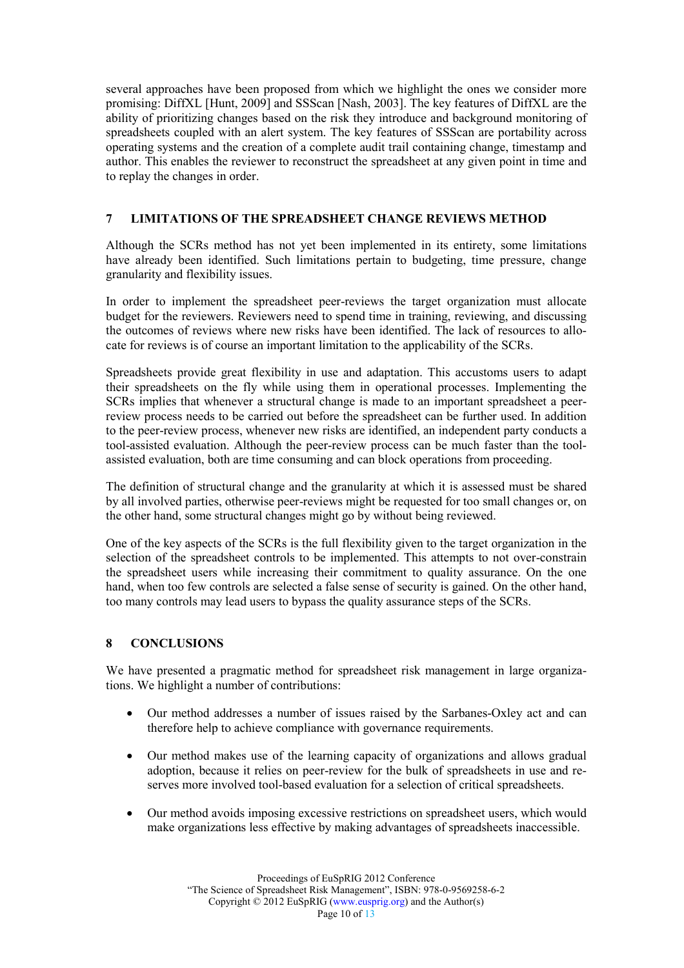several approaches have been proposed from which we highlight the ones we consider more promising: DiffXL [Hunt, 2009] and SSScan [Nash, 2003]. The key features of DiffXL are the ability of prioritizing changes based on the risk they introduce and background monitoring of spreadsheets coupled with an alert system. The key features of SSScan are portability across operating systems and the creation of a complete audit trail containing change, timestamp and author. This enables the reviewer to reconstruct the spreadsheet at any given point in time and to replay the changes in order.

### 7 LIMITATIONS OF THE SPREADSHEET CHANGE REVIEWS METHOD

Although the SCRs method has not yet been implemented in its entirety, some limitations have already been identified. Such limitations pertain to budgeting, time pressure, change granularity and flexibility issues.

In order to implement the spreadsheet peer-reviews the target organization must allocate budget for the reviewers. Reviewers need to spend time in training, reviewing, and discussing the outcomes of reviews where new risks have been identified. The lack of resources to allocate for reviews is of course an important limitation to the applicability of the SCRs.

Spreadsheets provide great flexibility in use and adaptation. This accustoms users to adapt their spreadsheets on the fly while using them in operational processes. Implementing the SCRs implies that whenever a structural change is made to an important spreadsheet a peerreview process needs to be carried out before the spreadsheet can be further used. In addition to the peer-review process, whenever new risks are identified, an independent party conducts a tool-assisted evaluation. Although the peer-review process can be much faster than the toolassisted evaluation, both are time consuming and can block operations from proceeding.

The definition of structural change and the granularity at which it is assessed must be shared by all involved parties, otherwise peer-reviews might be requested for too small changes or, on the other hand, some structural changes might go by without being reviewed.

One of the key aspects of the SCRs is the full flexibility given to the target organization in the selection of the spreadsheet controls to be implemented. This attempts to not over-constrain the spreadsheet users while increasing their commitment to quality assurance. On the one hand, when too few controls are selected a false sense of security is gained. On the other hand, too many controls may lead users to bypass the quality assurance steps of the SCRs.

#### 8 CONCLUSIONS

We have presented a pragmatic method for spreadsheet risk management in large organizations. We highlight a number of contributions:

- Our method addresses a number of issues raised by the Sarbanes-Oxley act and can therefore help to achieve compliance with governance requirements.
- Our method makes use of the learning capacity of organizations and allows gradual adoption, because it relies on peer-review for the bulk of spreadsheets in use and reserves more involved tool-based evaluation for a selection of critical spreadsheets.
- Our method avoids imposing excessive restrictions on spreadsheet users, which would make organizations less effective by making advantages of spreadsheets inaccessible.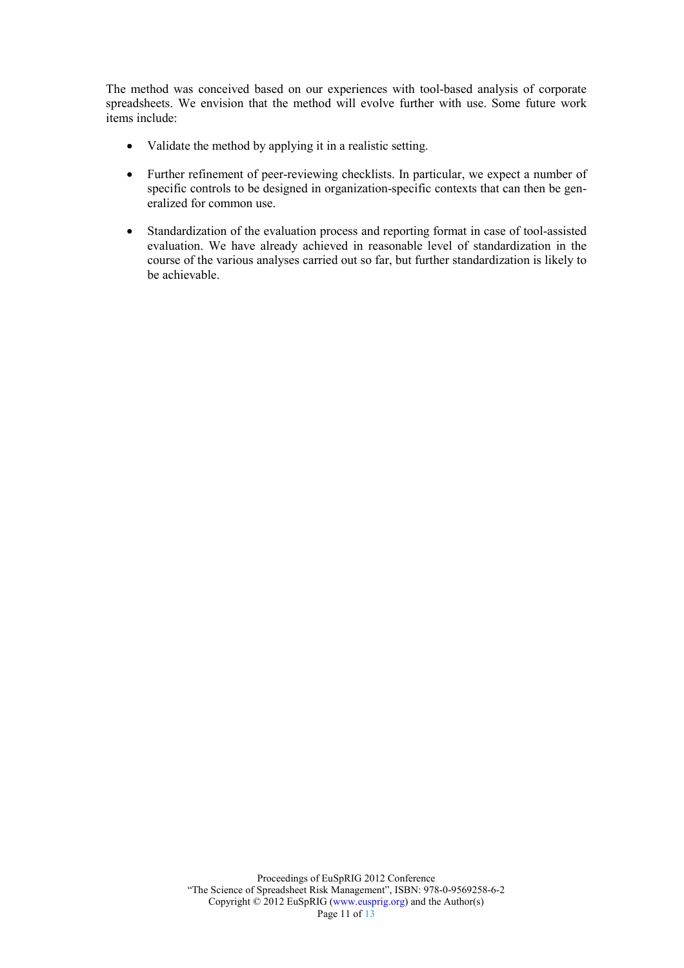The method was conceived based on our experiences with tool-based analysis of corporate spreadsheets. We envision that the method will evolve further with use. Some future work items include:

- Validate the method by applying it in a realistic setting.
- Further refinement of peer-reviewing checklists. In particular, we expect a number of specific controls to be designed in organization-specific contexts that can then be generalized for common use.
- Standardization of the evaluation process and reporting format in case of tool-assisted evaluation. We have already achieved in reasonable level of standardization in the course of the various analyses carried out so far, but further standardization is likely to be achievable.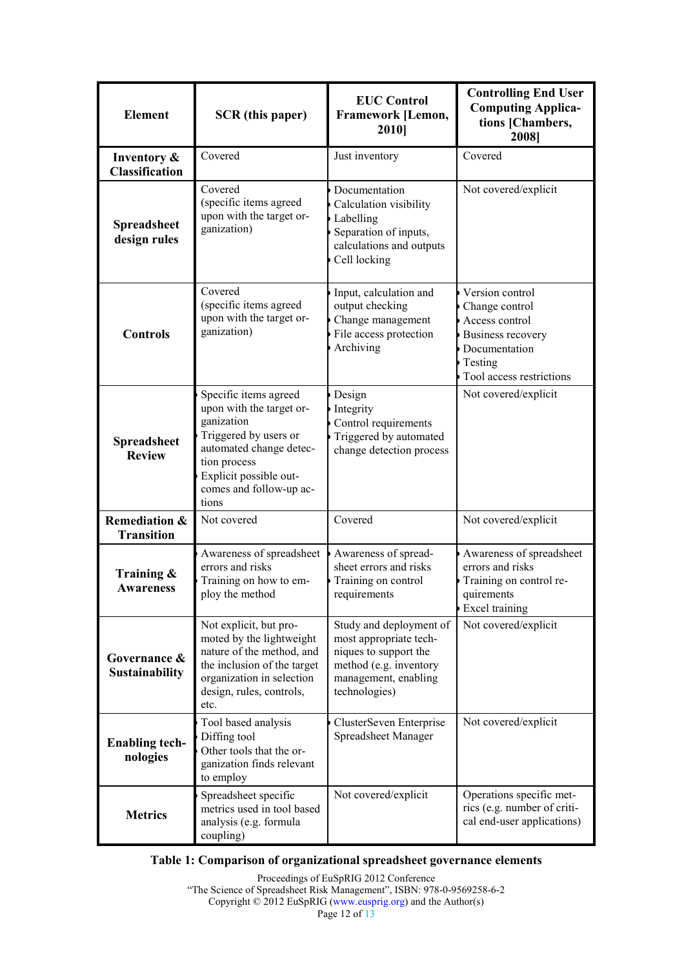| <b>Element</b>                                | <b>SCR</b> (this paper)                                                                                                                                                                           | <b>EUC Control</b><br><b>Framework [Lemon,</b><br>2010]                                                                                       | <b>Controlling End User</b><br><b>Computing Applica-</b><br>tions [Chambers,<br>2008]                                                   |
|-----------------------------------------------|---------------------------------------------------------------------------------------------------------------------------------------------------------------------------------------------------|-----------------------------------------------------------------------------------------------------------------------------------------------|-----------------------------------------------------------------------------------------------------------------------------------------|
| Inventory &<br><b>Classification</b>          | Covered                                                                                                                                                                                           | Just inventory                                                                                                                                | Covered                                                                                                                                 |
| <b>Spreadsheet</b><br>design rules            | Covered<br>(specific items agreed<br>upon with the target or-<br>ganization)                                                                                                                      | Documentation<br>Calculation visibility<br>Labelling<br>Separation of inputs,<br>calculations and outputs<br>Cell locking                     | Not covered/explicit                                                                                                                    |
| <b>Controls</b>                               | Covered<br>(specific items agreed<br>upon with the target or-<br>ganization)                                                                                                                      | Input, calculation and<br>output checking<br>Change management<br>File access protection<br>Archiving                                         | Version control<br>Change control<br>Access control<br><b>Business recovery</b><br>Documentation<br>Testing<br>Tool access restrictions |
| <b>Spreadsheet</b><br><b>Review</b>           | Specific items agreed<br>upon with the target or-<br>ganization<br>Triggered by users or<br>automated change detec-<br>tion process<br>Explicit possible out-<br>comes and follow-up ac-<br>tions | Design<br>Integrity<br>Control requirements<br>Triggered by automated<br>change detection process                                             | Not covered/explicit                                                                                                                    |
| <b>Remediation &amp;</b><br><b>Transition</b> | Not covered                                                                                                                                                                                       | Covered                                                                                                                                       | Not covered/explicit                                                                                                                    |
| Training &<br><b>Awareness</b>                | Awareness of spreadsheet<br>errors and risks<br>Training on how to em-<br>ploy the method                                                                                                         | Awareness of spread-<br>sheet errors and risks<br>Training on control<br>requirements                                                         | Awareness of spreadsheet<br>errors and risks<br>Training on control re-<br>quirements<br><b>Excel training</b>                          |
| Governance &<br><b>Sustainability</b>         | Not explicit, but pro-<br>moted by the lightweight<br>nature of the method, and<br>the inclusion of the target<br>organization in selection<br>design, rules, controls,<br>etc.                   | Study and deployment of<br>most appropriate tech-<br>niques to support the<br>method (e.g. inventory<br>management, enabling<br>technologies) | Not covered/explicit                                                                                                                    |
| <b>Enabling tech-</b><br>nologies             | Tool based analysis<br>Diffing tool<br>Other tools that the or-<br>ganization finds relevant<br>to employ                                                                                         | ClusterSeven Enterprise<br>Spreadsheet Manager                                                                                                | Not covered/explicit                                                                                                                    |
| <b>Metrics</b>                                | Spreadsheet specific<br>metrics used in tool based<br>analysis (e.g. formula<br>coupling)                                                                                                         | Not covered/explicit                                                                                                                          | Operations specific met-<br>rics (e.g. number of criti-<br>cal end-user applications)                                                   |

## Table 1: Comparison of organizational spreadsheet governance elements

Proceedings of EuSpRIG 2012 Conference "The Science of Spreadsheet Risk Management", ISBN: 978-0-9569258-6-2 Copyright © 2012 EuSpRIG (www.eusprig.org) and the Author(s) Page 12 of 13